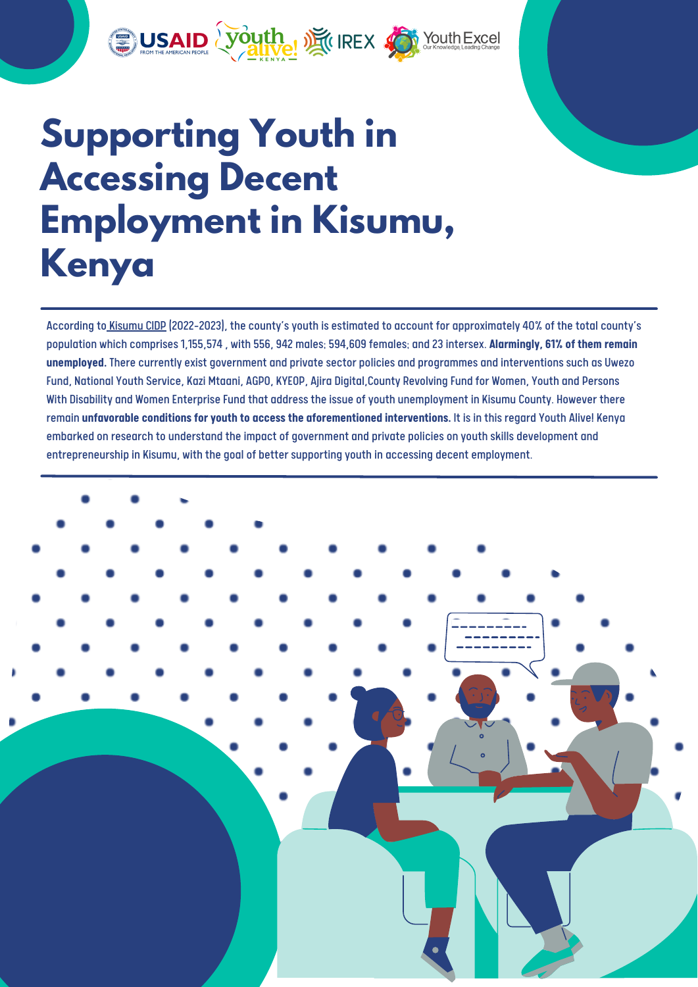

# **Supporting Youth in Accessing Decent Employment in Kisumu, Kenya**

According to [Kisumu](https://www.kisumu.go.ke/wp-content/uploads/2018/11/Kisumu-County-CIDP-II-2018-2022.pdf) CIDP (2022-2023), the county'syouth is estimated to account for approximately 40% of the total county's population which comprises 1,155,574 , with 556, 942 males; 594,609 females; and 23 intersex. **Alarmingly, 61% of them remain unemployed.** There currently exist government and private sector policies and programmes and interventions such as Uwezo Fund, National Youth Service, Kazi Mtaani, AGPO, KYEOP, Ajira Digital,County Revolving Fund for Women, Youth and Persons With Disability and Women Enterprise Fund that address the issue of youth unemployment in Kisumu County. However there remain **unfavorable conditions foryouth to access the aforementioned interventions.** It is in this regard Youth Alive! Kenya embarked on research to understand the impact of government and private policies on youth skills development and entrepreneurship in Kisumu, with the goal of better supporting youth in accessing decent employment.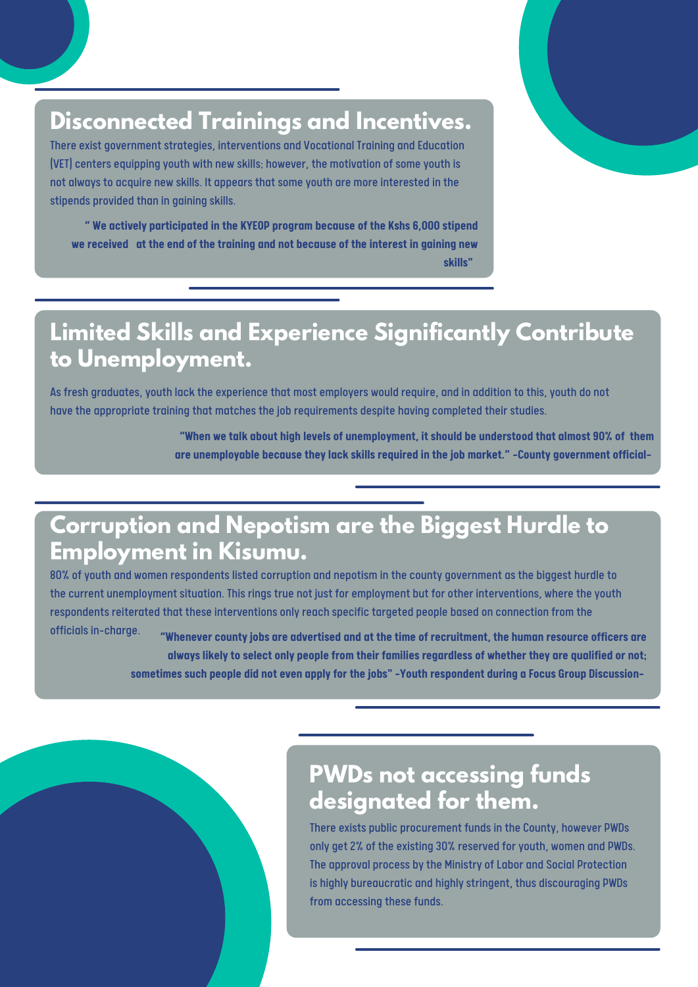## **Disconnected Trainings and Incentives.**

There exist government strategies, interventions and Vocational Training and Education (VET) centers equipping youth with new skills; however, the motivation of some youth is not always to acquire new skills. It appears that some youth are more interested in the stipends provided than in gaining skills.

**" We actively participated in the KYEOP program because of the Kshs 6,000 stipend we received at the end of the training and not because of the interest in gaining new skills"**

#### **Limited Skills and Experience Significantly Contribute to Unemployment.**

As fresh graduates, youth lack the experience that most employers would require, and in addition to this, youth do not have the appropriate training that matches the job requirements despite having completed their studies.

> **"When we talk about high levels of unemployment, it should be understood that almost 90% of them are unemployable because theylack skills required in the job market."-County government official-**

### **Corruption and Nepotism are the Biggest Hurdle to Employment in Kisumu.**

80% of youth and women respondents listed corruption and nepotism in the county government as the biggest hurdle to the current unemployment situation. This rings true not just for employment but for other interventions, where the youth respondents reiterated that these interventions onlyreach specific targeted people based on connection from the officials in-charge.

**"Whenever countyjobs are advertised and at the time of recruitment, the human resource officers are always likelyto select only people from their families regardless of whether they are qualified or not; sometimes such people did not even applyfor the jobs"-Youth respondent during a Focus Group Discussion-**

#### **PWDs not accessing funds designated for them.**

There exists public procurement funds in the County, however PWDs only get 2% of the existing 30% reserved for youth, women and PWDs. The approval process by the Ministry of Labor and Social Protection is highly bureaucratic and highly stringent, thus discouraging PWDs from accessing these funds.